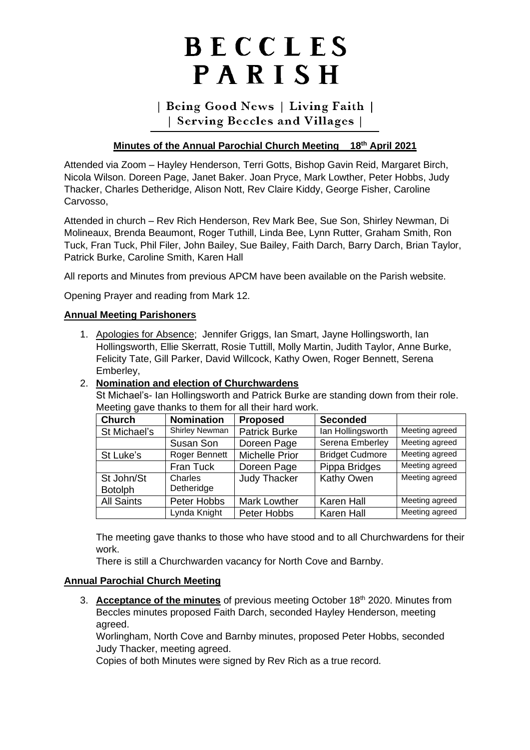# BECCLES PARISH

# | Being Good News | Living Faith | | Serving Beccles and Villages |

# **Minutes of the Annual Parochial Church Meeting 18th April 2021**

Attended via Zoom – Hayley Henderson, Terri Gotts, Bishop Gavin Reid, Margaret Birch, Nicola Wilson. Doreen Page, Janet Baker. Joan Pryce, Mark Lowther, Peter Hobbs, Judy Thacker, Charles Detheridge, Alison Nott, Rev Claire Kiddy, George Fisher, Caroline Carvosso,

Attended in church – Rev Rich Henderson, Rev Mark Bee, Sue Son, Shirley Newman, Di Molineaux, Brenda Beaumont, Roger Tuthill, Linda Bee, Lynn Rutter, Graham Smith, Ron Tuck, Fran Tuck, Phil Filer, John Bailey, Sue Bailey, Faith Darch, Barry Darch, Brian Taylor, Patrick Burke, Caroline Smith, Karen Hall

All reports and Minutes from previous APCM have been available on the Parish website.

Opening Prayer and reading from Mark 12.

#### **Annual Meeting Parishoners**

1. Apologies for Absence; Jennifer Griggs, Ian Smart, Jayne Hollingsworth, Ian Hollingsworth, Ellie Skerratt, Rosie Tuttill, Molly Martin, Judith Taylor, Anne Burke, Felicity Tate, Gill Parker, David Willcock, Kathy Owen, Roger Bennett, Serena Emberley,

#### 2. **Nomination and election of Churchwardens**

St Michael's- Ian Hollingsworth and Patrick Burke are standing down from their role. Meeting gave thanks to them for all their hard work.

| <b>Church</b>                | <b>Nomination</b>     | <b>Proposed</b>       | <b>Seconded</b>        |                |
|------------------------------|-----------------------|-----------------------|------------------------|----------------|
| St Michael's                 | Shirley Newman        | <b>Patrick Burke</b>  | lan Hollingsworth      | Meeting agreed |
|                              | Susan Son             | Doreen Page           | Serena Emberley        | Meeting agreed |
| St Luke's                    | Roger Bennett         | <b>Michelle Prior</b> | <b>Bridget Cudmore</b> | Meeting agreed |
|                              | Fran Tuck             | Doreen Page           | Pippa Bridges          | Meeting agreed |
| St John/St<br><b>Botolph</b> | Charles<br>Detheridge | <b>Judy Thacker</b>   | Kathy Owen             | Meeting agreed |
| <b>All Saints</b>            | Peter Hobbs           | <b>Mark Lowther</b>   | <b>Karen Hall</b>      | Meeting agreed |
|                              | Lynda Knight          | Peter Hobbs           | <b>Karen Hall</b>      | Meeting agreed |

The meeting gave thanks to those who have stood and to all Churchwardens for their work.

There is still a Churchwarden vacancy for North Cove and Barnby.

#### **Annual Parochial Church Meeting**

3. **Acceptance of the minutes** of previous meeting October 18th 2020. Minutes from Beccles minutes proposed Faith Darch, seconded Hayley Henderson, meeting agreed.

Worlingham, North Cove and Barnby minutes, proposed Peter Hobbs, seconded Judy Thacker, meeting agreed.

Copies of both Minutes were signed by Rev Rich as a true record.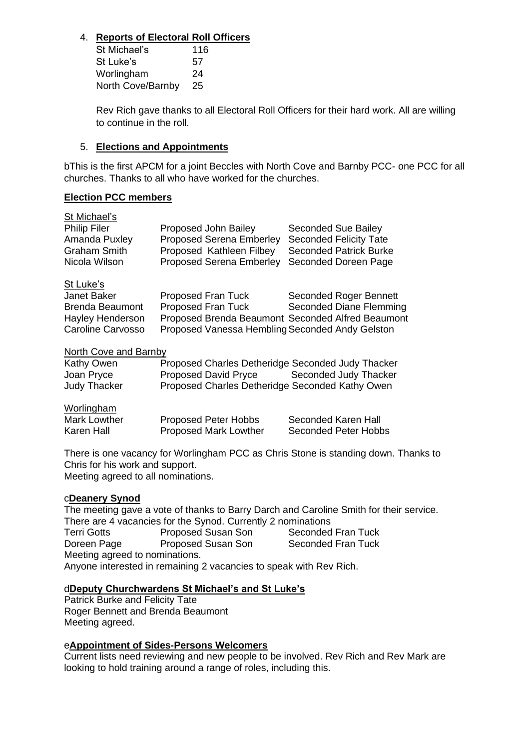# 4. **Reports of Electoral Roll Officers**

St Michael's 116 St Luke's 57 Worlingham 24 North Cove/Barnby 25

Rev Rich gave thanks to all Electoral Roll Officers for their hard work. All are willing to continue in the roll.

## 5. **Elections and Appointments**

bThis is the first APCM for a joint Beccles with North Cove and Barnby PCC- one PCC for all churches. Thanks to all who have worked for the churches.

### **Election PCC members**

| Proposed John Bailey                              | Seconded Sue Bailey           |
|---------------------------------------------------|-------------------------------|
| <b>Proposed Serena Emberley</b>                   | <b>Seconded Felicity Tate</b> |
|                                                   | <b>Seconded Patrick Burke</b> |
| <b>Proposed Serena Emberley</b>                   | Seconded Doreen Page          |
|                                                   |                               |
| Proposed Fran Tuck                                | <b>Seconded Roger Bennett</b> |
| Proposed Fran Tuck                                | Seconded Diane Flemming       |
| Proposed Brenda Beaumont Seconded Alfred Beaumont |                               |
| Proposed Vanessa Hembling Seconded Andy Gelston   |                               |
| <b>North Cove and Barnby</b>                      |                               |
|                                                   | Proposed Kathleen Filbey      |

| Kathy Owen   | Proposed Charles Detheridge Seconded Judy Thacker |                       |
|--------------|---------------------------------------------------|-----------------------|
| Joan Pryce   | Proposed David Pryce                              | Seconded Judy Thacker |
| Judy Thacker | Proposed Charles Detheridge Seconded Kathy Owen   |                       |

#### Worlingham

| Mark Lowther | <b>Proposed Peter Hobbs</b>  | Seconded Karen Hall  |
|--------------|------------------------------|----------------------|
| Karen Hall   | <b>Proposed Mark Lowther</b> | Seconded Peter Hobbs |

There is one vacancy for Worlingham PCC as Chris Stone is standing down. Thanks to Chris for his work and support. Meeting agreed to all nominations.

#### c**Deanery Synod**

The meeting gave a vote of thanks to Barry Darch and Caroline Smith for their service. There are 4 vacancies for the Synod. Currently 2 nominations<br>Terri Gotts Proposed Susan Son Seconded Fran Tuck Terri Gotts **Proposed Susan Son** Seconded Fran Tuck<br>
Doreen Page Proposed Susan Son Seconded Fran Tuck Doreen Page Proposed Susan Son Meeting agreed to nominations. Anyone interested in remaining 2 vacancies to speak with Rev Rich.

#### d**Deputy Churchwardens St Michael's and St Luke's**

Patrick Burke and Felicity Tate Roger Bennett and Brenda Beaumont Meeting agreed.

#### e**Appointment of Sides-Persons Welcomers**

Current lists need reviewing and new people to be involved. Rev Rich and Rev Mark are looking to hold training around a range of roles, including this.